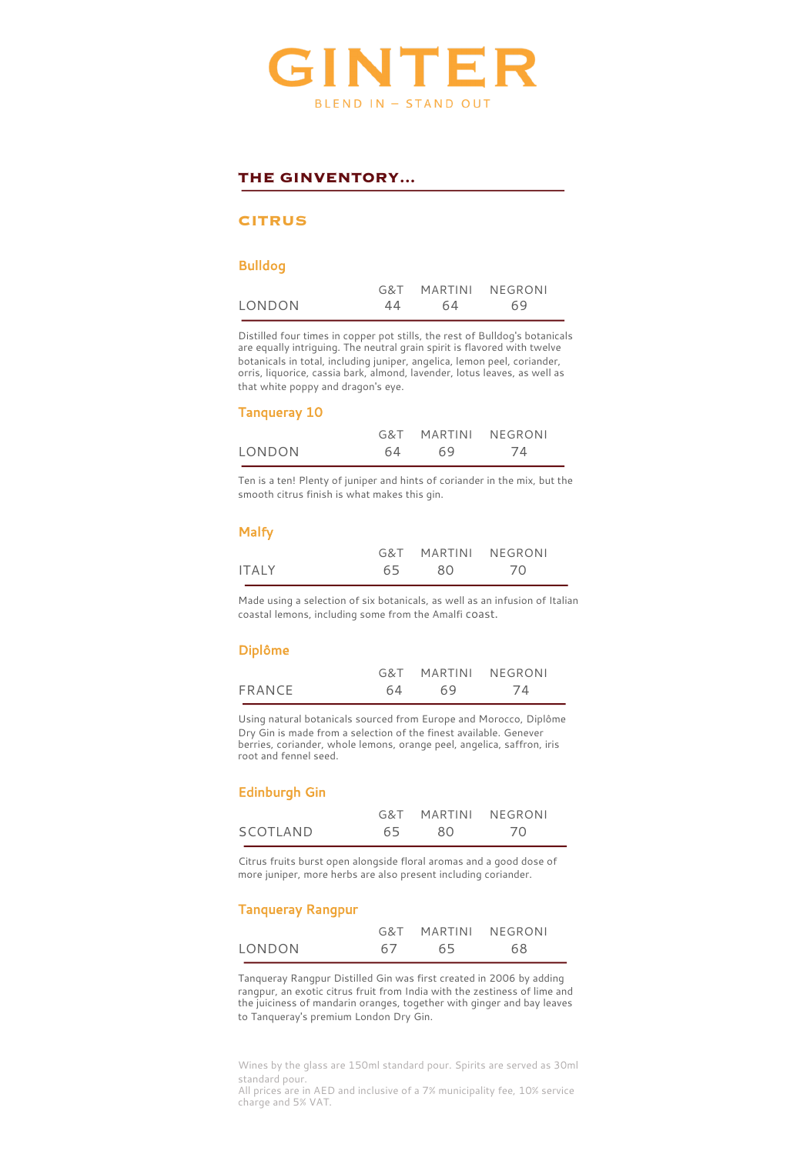

## **THE GINVENTORY...**

#### **CITRUS**

#### Bulldog

|        |    |    | G&T MARTINI NEGRONI |  |
|--------|----|----|---------------------|--|
| LONDON | 44 | 64 | 69                  |  |

Distilled four times in copper pot stills, the rest of Bulldog's botanicals are equally intriguing. The neutral grain spirit is flavored with twelve botanicals in total, including juniper, angelica, lemon peel, coriander, orris, liquorice, cassia bark, almond, lavender, lotus leaves, as well as that white poppy and dragon's eye.

#### Tanqueray 10

|        |     | G&T MARTINI NEGRONI |    |  |
|--------|-----|---------------------|----|--|
| LONDON | 64. | 69                  | 74 |  |

Ten is a ten! Plenty of juniper and hints of coriander in the mix, but the smooth citrus finish is what makes this gin.

#### Malfy

|              |      |     | G&T MARTINI NEGRONI |
|--------------|------|-----|---------------------|
| <b>ITALY</b> | 65 - | -80 | 70                  |

Made using a selection of six botanicals, as well as an infusion of Italian coastal lemons, including some from the Amalfi coast.

#### Diplôme

|        |    | G&T MARTINI NEGRONI |    |
|--------|----|---------------------|----|
| FRANCE | 64 | 69                  | 74 |

Using natural botanicals sourced from Europe and Morocco, Diplôme Dry Gin is made from a selection of the finest available. Genever berries, coriander, whole lemons, orange peel, angelica, saffron, iris root and fennel seed.

#### Edinburgh Gin

|          |      |     | G&T MARTINI NEGRONI |
|----------|------|-----|---------------------|
| SCOTLAND | 65 - | -80 | -70                 |

Citrus fruits burst open alongside floral aromas and a good dose of more juniper, more herbs are also present including coriander.

#### Tanqueray Rangpur

|        |    | G&T MARTINI NEGRONI |    |
|--------|----|---------------------|----|
| LONDON | 67 | 65                  | 68 |

Tanqueray Rangpur Distilled Gin was first created in 2006 by adding rangpur, an exotic citrus fruit from India with the zestiness of lime and the juiciness of mandarin oranges, together with ginger and bay leaves to Tanqueray's premium London Dry Gin.

Wines by the glass are 150ml standard pour. Spirits are served as 30ml standard pour.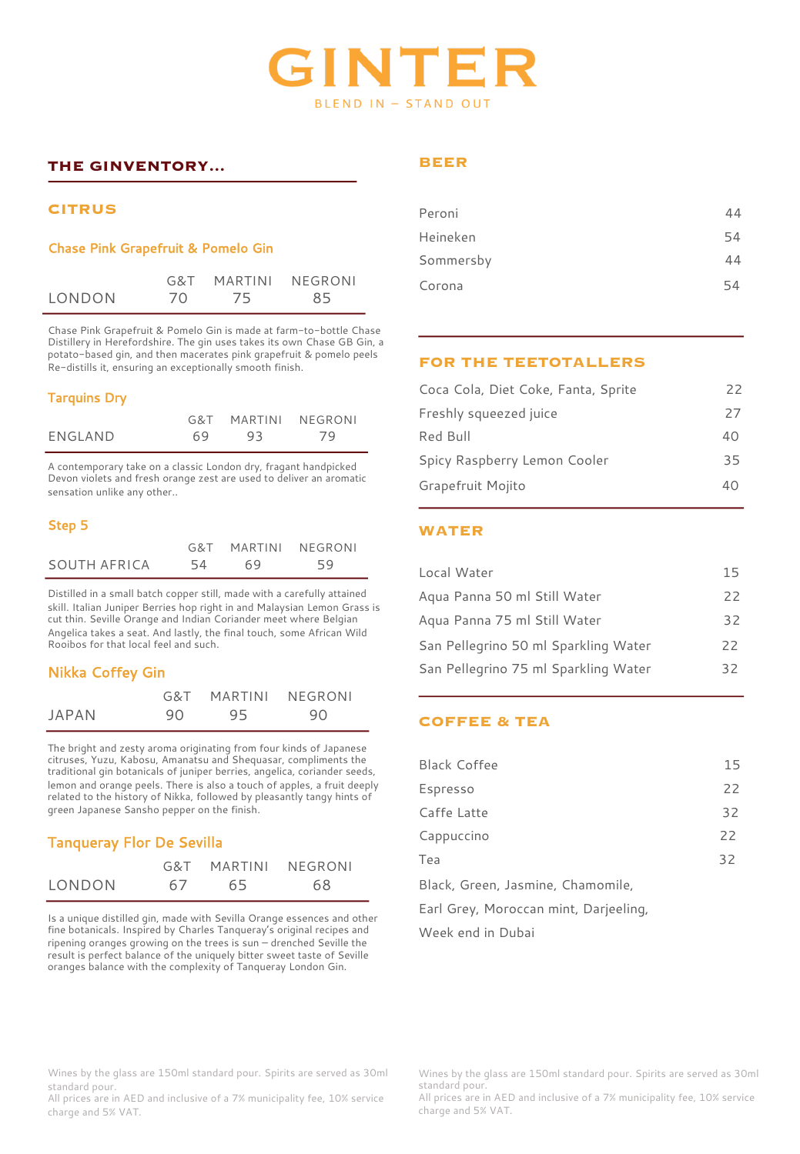# INTE BLEND IN - STAND OUT

## **THE GINVENTORY...**

## **CITRUS**

## Chase Pink Grapefruit & Pomelo Gin

|        |    | G&T MARTINI NEGRONI |    |
|--------|----|---------------------|----|
| LONDON | 70 | - 75                | 85 |

Chase Pink Grapefruit & Pomelo Gin is made at farm-to-bottle Chase Distillery in Herefordshire. The gin uses takes its own Chase GB Gin, a potato-based gin, and then macerates pink grapefruit & pomelo peels Re-distills it, ensuring an exceptionally smooth finish.

## Tarquins Dry

|         |    | G&T MARTINI NEGRONI |      |
|---------|----|---------------------|------|
| ENGLAND | 69 | 93                  | - 79 |

A contemporary take on a classic London dry, fragant handpicked Devon violets and fresh orange zest are used to deliver an aromatic sensation unlike any other..

## Step 5

|              |    | G&T MARTINI NEGRONI |    |
|--------------|----|---------------------|----|
| SOUTH AFRICA | 54 | 69                  | 59 |

Distilled in a small batch copper still, made with a carefully attained skill. Italian Juniper Berries hop right in and Malaysian Lemon Grass is cut thin. Seville Orange and Indian Coriander meet where Belgian Angelica takes a seat. And lastly, the final touch, some African Wild Rooibos for that local feel and such.

## Nikka Coffey Gin

|       |     |    | G&T MARTINI NEGRONI |
|-------|-----|----|---------------------|
| JAPAN | 90. | 95 | 90                  |

The bright and zesty aroma originating from four kinds of Japanese citruses, Yuzu, Kabosu, Amanatsu and Shequasar, compliments the traditional gin botanicals of juniper berries, angelica, coriander seeds, lemon and orange peels. There is also a touch of apples, a fruit deeply related to the history of Nikka, followed by pleasantly tangy hints of green Japanese Sansho pepper on the finish.

# Tanqueray Flor De Sevilla

|        |    |    | G&T MARTINI NFGRONI |
|--------|----|----|---------------------|
| LONDON | 67 | 65 | 68                  |

Is a unique distilled gin, made with Sevilla Orange essences and other fine botanicals. Inspired by Charles Tanqueray's original recipes and ripening oranges growing on the trees is sun – drenched Seville the result is perfect balance of the uniquely bitter sweet taste of Seville oranges balance with the complexity of Tanqueray London Gin.

## **BEER**

| Peroni    | 44 |
|-----------|----|
|           |    |
| Heineken  | 54 |
| Sommersby | 44 |
| Corona    | 54 |

## **FOR THE TEETOTALLERS**

| Coca Cola, Diet Coke, Fanta, Sprite | 22 |
|-------------------------------------|----|
| Freshly squeezed juice              | 27 |
| Red Bull                            | 40 |
| Spicy Raspberry Lemon Cooler        | 35 |
| Grapefruit Mojito                   | 40 |

## **WATER**

| Local Water                          | 15  |
|--------------------------------------|-----|
| Aqua Panna 50 ml Still Water         | 22  |
| Agua Panna 75 ml Still Water         | 32  |
| San Pellegrino 50 ml Sparkling Water | 22  |
| San Pellegrino 75 ml Sparkling Water | 32. |

## **COFFEE & TEA**

| <b>Black Coffee</b>                   | 15 |
|---------------------------------------|----|
| Espresso                              | 22 |
| Caffe Latte                           | 32 |
| Cappuccino                            | 22 |
| Tea                                   | 32 |
| Black, Green, Jasmine, Chamomile,     |    |
| Earl Grey, Moroccan mint, Darjeeling, |    |

Week end in Dubai

#### Wines by the glass are 150ml standard pour. Spirits are served as 30ml standard pour.

All prices are in AED and inclusive of a 7% municipality fee, 10% service charge and 5% VAT.

Wines by the glass are 150ml standard pour. Spirits are served as 30ml standard pour.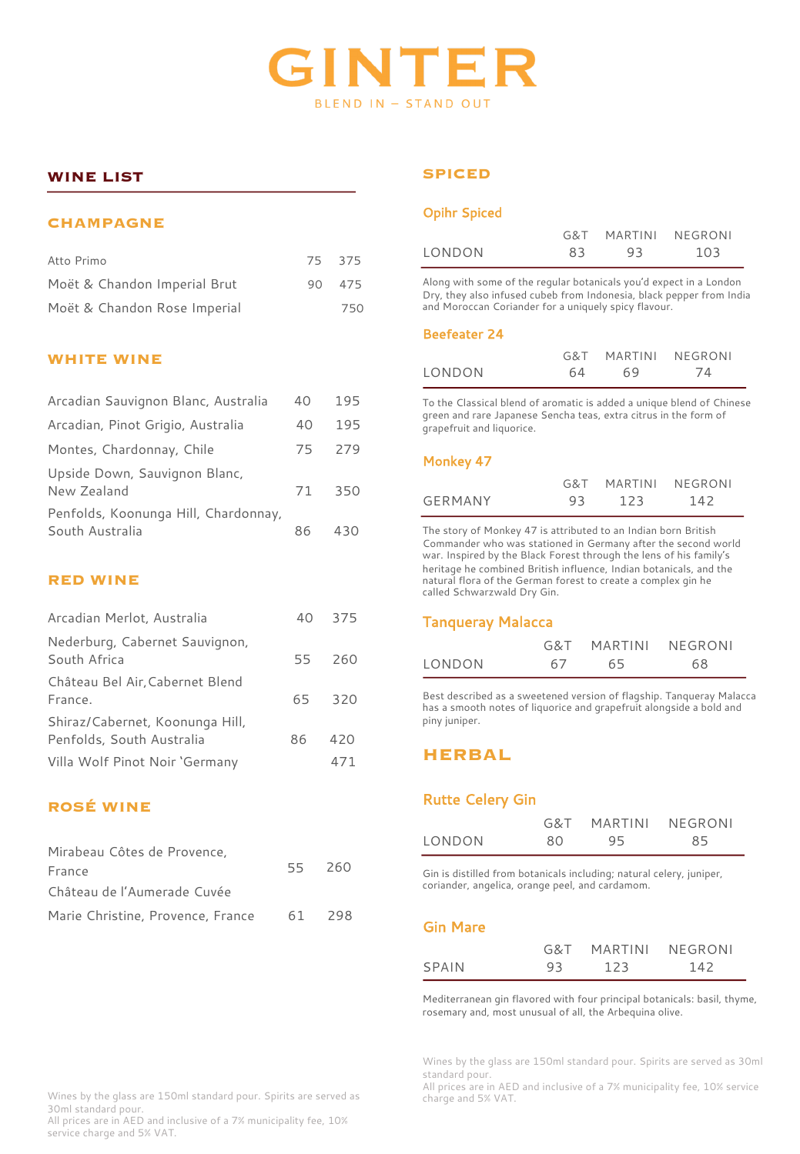

## **WINE LIST**

#### **CHAMPAGNE**

| Atto Primo                   | 75 375 |     |
|------------------------------|--------|-----|
| Moët & Chandon Imperial Brut | 90.    | 475 |
| Moët & Chandon Rose Imperial |        | 750 |

#### **WHITE WINE**

| Arcadian Sauvignon Blanc, Australia                     | 40  | 195 |
|---------------------------------------------------------|-----|-----|
| Arcadian, Pinot Grigio, Australia                       | 40  | 195 |
| Montes, Chardonnay, Chile                               | 75. | 279 |
| Upside Down, Sauvignon Blanc,<br>New Zealand            | 71  | 350 |
| Penfolds, Koonunga Hill, Chardonnay,<br>South Australia | 86  | 430 |

## **RED WINE**

| Arcadian Merlot, Australia                                   | 40 | 375    |
|--------------------------------------------------------------|----|--------|
| Nederburg, Cabernet Sauvignon,<br>South Africa               |    | 55 260 |
| Château Bel Air, Cabernet Blend<br>France.                   |    | 65 320 |
| Shiraz/Cabernet, Koonunga Hill,<br>Penfolds, South Australia | 86 | 420    |
| Villa Wolf Pinot Noir 'Germany                               |    | 471    |

## **ROSÉ WINE**

| Mirabeau Côtes de Provence,              |        |  |  |  |
|------------------------------------------|--------|--|--|--|
| France                                   | 55 260 |  |  |  |
| Château de l'Aumerade Cuvée              |        |  |  |  |
| Marie Christine, Provence, France 61 298 |        |  |  |  |

# **SPICED**

#### Opihr Spiced

|        | G&T | MARTINI NEGRONI |     |
|--------|-----|-----------------|-----|
| LONDON | 83  | -93             | 103 |

Along with some of the regular botanicals you'd expect in a London Dry, they also infused cubeb from Indonesia, black pepper from India and Moroccan Coriander for a uniquely spicy flavour.

#### Beefeater 24

|        |    | G&T MARTINI NEGRONI |     |
|--------|----|---------------------|-----|
| LONDON | 64 | 69                  | -74 |

To the Classical blend of aromatic is added a unique blend of Chinese green and rare Japanese Sencha teas, extra citrus in the form of grapefruit and liquorice.

#### Monkey 47

|                |    | G&T MARTINI NEGRONI |     |
|----------------|----|---------------------|-----|
| <b>GERMANY</b> | 93 | - 123               | 142 |

The story of Monkey 47 is attributed to an Indian born British Commander who was stationed in Germany after the second world war. Inspired by the Black Forest through the lens of his family's heritage he combined British influence, Indian botanicals, and the natural flora of the German forest to create a complex gin he called Schwarzwald Dry Gin.

#### Tanqueray Malacca

|        |    | G&T MARTINI NEGRONI |    |
|--------|----|---------------------|----|
| LONDON | 67 | 65                  | 68 |

Best described as a sweetened version of flagship. Tanqueray Malacca has a smooth notes of liquorice and grapefruit alongside a bold and piny juniper.

## **HERBAL**

#### Rutte Celery Gin

|        |    | G&T MARTINI | NFGRONI |
|--------|----|-------------|---------|
| LONDON | 80 | 95          | 85      |

Gin is distilled from botanicals including; natural celery, juniper, coriander, angelica, orange peel, and cardamom.

#### Gin Mare

|       |    | G&T MARTINI NEGRONI |     |  |
|-------|----|---------------------|-----|--|
| SPAIN | 93 | 123                 | 142 |  |

Mediterranean gin flavored with four principal botanicals: basil, thyme, rosemary and, most unusual of all, the Arbequina olive.

Wines by the glass are 150ml standard pour. Spirits are served as 30ml standard pour.

All prices are in AED and inclusive of a 7% municipality fee, 10% service charge and 5% VAT.

Wines by the glass are 150ml standard pour. Spirits are served as 30ml standard pour.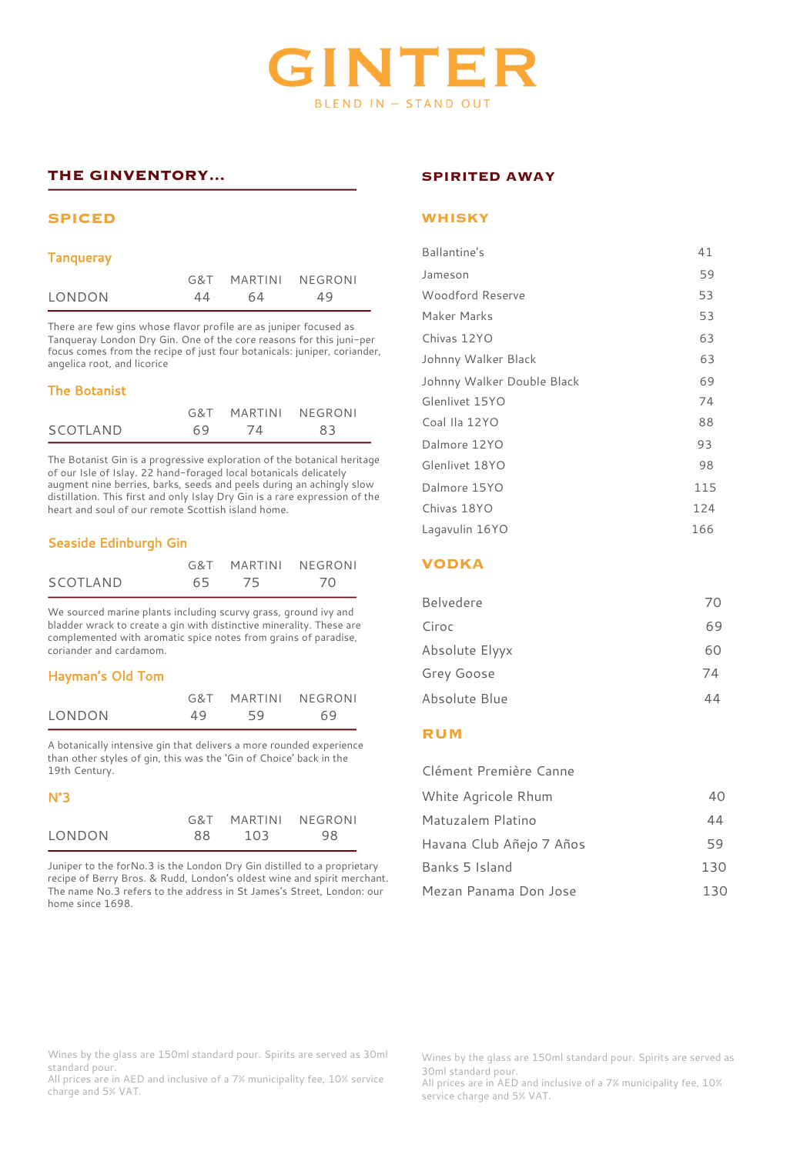

# **THE GINVENTORY...**

#### **SPICED**

#### **Tanqueray**

|        |    | G&T MARTINI NEGRONI |    |
|--------|----|---------------------|----|
| LONDON | 44 | 64                  | 49 |

There are few gins whose flavor profile are as juniper focused as Tanqueray London Dry Gin. One of the core reasons for this juni-per focus comes from the recipe of just four botanicals: juniper, coriander, angelica root, and licorice

#### The Botanist

|          |    | G&T MARTINI NEGRONI |    |
|----------|----|---------------------|----|
| SCOTLAND | 69 | 74                  | 83 |

The Botanist Gin is a progressive exploration of the botanical heritage of our Isle of Islay. 22 hand-foraged local botanicals delicately augment nine berries, barks, seeds and peels during an achingly slow distillation. This first and only Islay Dry Gin is a rare expression of the heart and soul of our remote Scottish island home.

## Seaside Edinburgh Gin

|          |       | G&T MARTINI NEGRONI |
|----------|-------|---------------------|
| SCOTLAND | 65 75 | 70                  |

We sourced marine plants including scurvy grass, ground ivy and bladder wrack to create a gin with distinctive minerality. These are complemented with aromatic spice notes from grains of paradise, coriander and cardamom.

#### Hayman's Old Tom

|        |    |    | G&T MARTINI NEGRONI |
|--------|----|----|---------------------|
| LONDON | 49 | 59 | 69                  |

A botanically intensive gin that delivers a more rounded experience than other styles of gin, this was the 'Gin of Choice' back in the 19th Century.

#### N°3

|        |     | G&T MARTINI NEGRONI |    |
|--------|-----|---------------------|----|
| LONDON | 88. | 103                 | 98 |

Juniper to the forNo.3 is the London Dry Gin distilled to a proprietary recipe of Berry Bros. & Rudd, London's oldest wine and spirit merchant. The name No.3 refers to the address in St James's Street, London: our home since 1698.

#### **SPIRITED AWAY**

#### **WHISKY**

| Ballantine's               | 41  |
|----------------------------|-----|
| Jameson                    | 59  |
| Woodford Reserve           | 53  |
| Maker Marks                | 53  |
| Chivas 12YO                | 63  |
| Johnny Walker Black        | 63  |
| Johnny Walker Double Black | 69  |
| Glenlivet 15YO             | 74  |
| Coal Ila 12YO              | 88  |
| Dalmore 12YO               | 93  |
| Glenlivet 18YO             | 98  |
| Dalmore 15YO               | 115 |
| Chivas 18YO                | 124 |
| Lagavulin 16YO             | 166 |

## **VODKA**

| Belvedere      | 70 |
|----------------|----|
| Ciroc          | 69 |
| Absolute Elyyx | 60 |
| Grey Goose     | 74 |
| Absolute Blue  |    |

#### **RUM**

| Clément Première Canne   |     |
|--------------------------|-----|
| White Agricole Rhum      | 40  |
| Matuzalem Platino        | 44  |
| Havana Club Añejo 7 Años | 59  |
| Banks 5 Island           | 130 |
| Mezan Panama Don Jose    | 130 |

Wines by the glass are 150ml standard pour. Spirits are served as 30ml standard pour.

All prices are in AED and inclusive of a 7% municipality fee, 10% service charge and 5% VAT.

Wines by the glass are 150ml standard pour. Spirits are served as 30ml standard pour.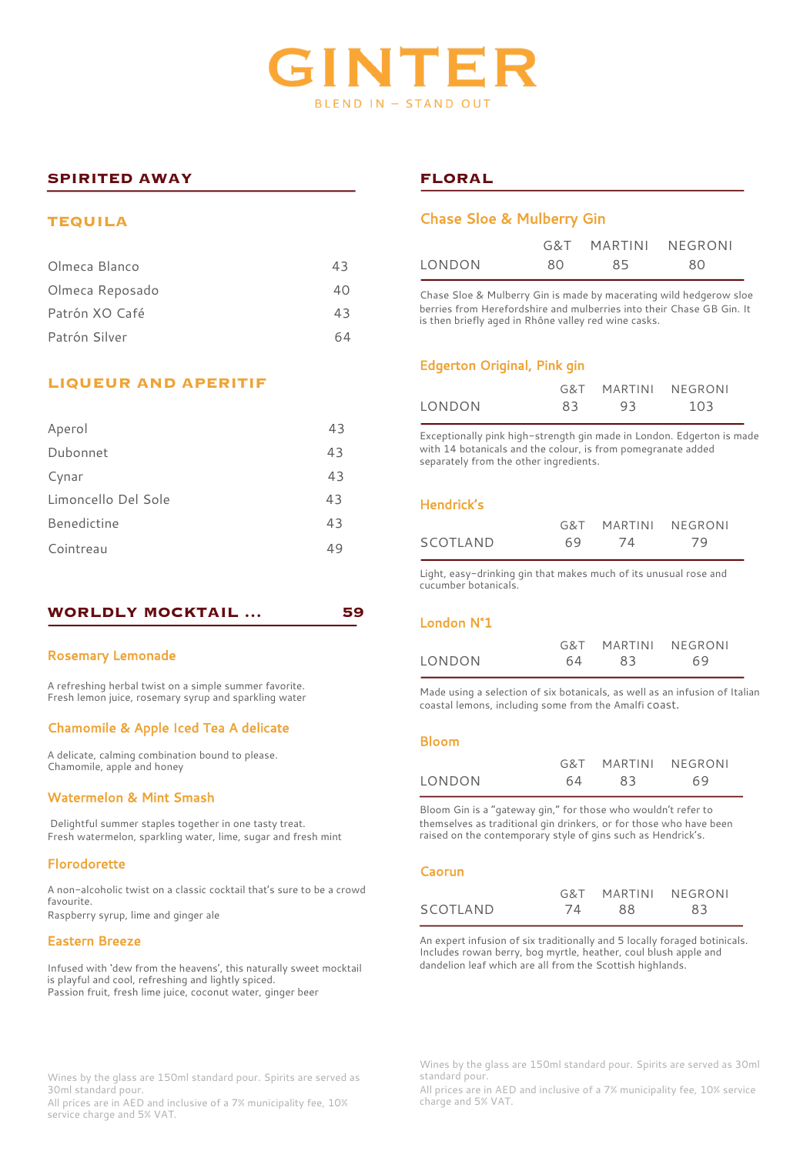

## **SPIRITED AWAY**

#### **TEQUILA**

| Olmeca Blanco   | 43 |
|-----------------|----|
| Olmeca Reposado | 40 |
| Patrón XO Café  | 43 |
| Patrón Silver   |    |

## **LIQUEUR AND APERITIF**

| 43 |
|----|
| 43 |
| 43 |
| 43 |
| 43 |
| 49 |
|    |

#### **WORLDLY MOCKTAIL … 59**

#### Rosemary Lemonade

A refreshing herbal twist on a simple summer favorite. Fresh lemon juice, rosemary syrup and sparkling water

#### Chamomile & Apple Iced Tea A delicate

A delicate, calming combination bound to please. Chamomile, apple and honey

#### Watermelon & Mint Smash

Delightful summer staples together in one tasty treat. Fresh watermelon, sparkling water, lime, sugar and fresh mint

#### Florodorette

A non-alcoholic twist on a classic cocktail that's sure to be a crowd favourite. Raspberry syrup, lime and ginger ale

Eastern Breeze

Infused with 'dew from the heavens', this naturally sweet mocktail is playful and cool, refreshing and lightly spiced. Passion fruit, fresh lime juice, coconut water, ginger beer

Wines by the glass are 150ml standard pour. Spirits are served as 30ml standard pour.

All prices are in AED and inclusive of a 7% municipality fee, 10% service charge and 5% VAT.

## **FLORAL**

#### Chase Sloe & Mulberry Gin

|        |    | G&T MARTINI NEGRONI |    |
|--------|----|---------------------|----|
| LONDON | 80 | 85.                 | 80 |

Chase Sloe & Mulberry Gin is made by macerating wild hedgerow sloe berries from Herefordshire and mulberries into their Chase GB Gin. It is then briefly aged in Rhône valley red wine casks.

## Edgerton Original, Pink gin

|        |     | G&T MARTINI NEGRONI |     |
|--------|-----|---------------------|-----|
| LONDON | 83. | 93                  | 103 |

Exceptionally pink high-strength gin made in London. Edgerton is made with 14 botanicals and the colour, is from pomegranate added separately from the other ingredients.

#### Hendrick's

|          |    | G&T MARTINI NEGRONI |    |
|----------|----|---------------------|----|
| SCOTLAND | 69 | -74                 | 79 |

Light, easy-drinking gin that makes much of its unusual rose and cucumber botanicals.

#### London N°1

|        |    |    | G&T MARTINI NEGRONI |
|--------|----|----|---------------------|
| LONDON | 64 | 83 | 69                  |

Made using a selection of six botanicals, as well as an infusion of Italian coastal lemons, including some from the Amalfi coast.

#### Bloom

|        |    |    | G&T MARTINI NEGRONI |
|--------|----|----|---------------------|
| LONDON | 64 | 83 | 69                  |

Bloom Gin is a "gateway gin," for those who wouldn't refer to themselves as traditional gin drinkers, or for those who have been raised on the contemporary style of gins such as Hendrick's.

#### Caorun

|          |    | G&T MARTINI NEGRONI |    |
|----------|----|---------------------|----|
| SCOTLAND | 74 | 88                  | 83 |

An expert infusion of six traditionally and 5 locally foraged botinicals. Includes rowan berry, bog myrtle, heather, coul blush apple and dandelion leaf which are all from the Scottish highlands.

Wines by the glass are 150ml standard pour. Spirits are served as 30ml standard pour.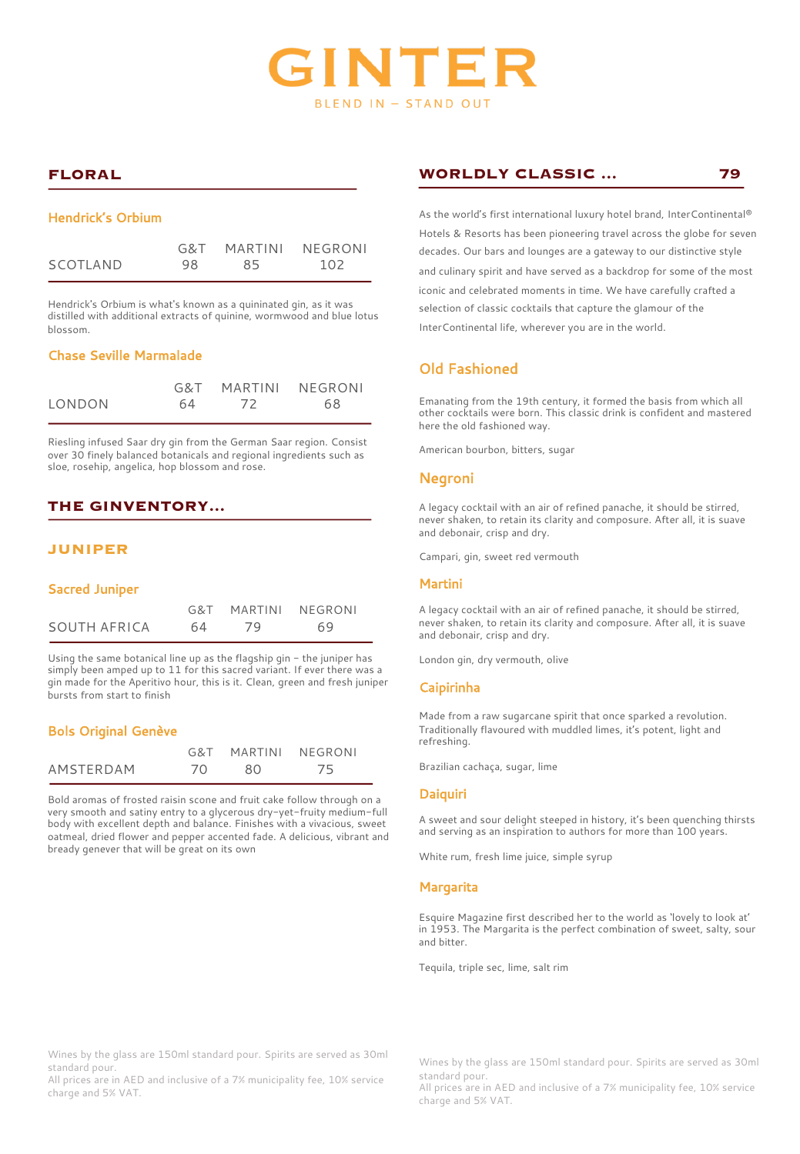

# **FLORAL**

#### Hendrick's Orbium

|          |     | G&T MARTINI NEGRONI |     |
|----------|-----|---------------------|-----|
| SCOTLAND | 98. | 85                  | 102 |

Hendrick's Orbium is what's known as a quininated gin, as it was distilled with additional extracts of quinine, wormwood and blue lotus blossom.

## Chase Seville Marmalade

|        |    | G&T MARTINI NEGRONI |    |
|--------|----|---------------------|----|
| LONDON | 64 | 72                  | 68 |

Riesling infused Saar dry gin from the German Saar region. Consist over 30 finely balanced botanicals and regional ingredients such as sloe, rosehip, angelica, hop blossom and rose.

# **THE GINVENTORY...**

## **JUNIPER**

#### Sacred Juniper

|              | G&T MARTINI NFGRONI |    |  |
|--------------|---------------------|----|--|
| SOUTH AFRICA | 64 79               | 69 |  |

Using the same botanical line up as the flagship gin - the juniper has simply been amped up to 11 for this sacred variant. If ever there was a gin made for the Aperitivo hour, this is it. Clean, green and fresh juniper bursts from start to finish

#### Bols Original Genève

|           |     | G&T MARTINI NEGRONI |     |
|-----------|-----|---------------------|-----|
| AMSTERDAM | 70. | -80                 | -75 |

Bold aromas of frosted raisin scone and fruit cake follow through on a very smooth and satiny entry to a glycerous dry-yet-fruity medium-full body with excellent depth and balance. Finishes with a vivacious, sweet oatmeal, dried flower and pepper accented fade. A delicious, vibrant and bready genever that will be great on its own

## **WORLDLY CLASSIC ... 79**

As the world's first international luxury hotel brand, InterContinental® Hotels & Resorts has been pioneering travel across the globe for seven decades. Our bars and lounges are a gateway to our distinctive style and culinary spirit and have served as a backdrop for some of the most iconic and celebrated moments in time. We have carefully crafted a selection of classic cocktails that capture the glamour of the InterContinental life, wherever you are in the world.

# Old Fashioned

Emanating from the 19th century, it formed the basis from which all other cocktails were born. This classic drink is confident and mastered here the old fashioned way.

American bourbon, bitters, sugar

#### Negroni

A legacy cocktail with an air of refined panache, it should be stirred, never shaken, to retain its clarity and composure. After all, it is suave and debonair, crisp and dry.

Campari, gin, sweet red vermouth

#### Martini

A legacy cocktail with an air of refined panache, it should be stirred, never shaken, to retain its clarity and composure. After all, it is suave and debonair, crisp and dry.

London gin, dry vermouth, olive

#### Caipirinha

Made from a raw sugarcane spirit that once sparked a revolution. Traditionally flavoured with muddled limes, it's potent, light and refreshing.

Brazilian cachaça, sugar, lime

#### Daiquiri

A sweet and sour delight steeped in history, it's been quenching thirsts and serving as an inspiration to authors for more than 100 years.

White rum, fresh lime juice, simple syrup

#### **Margarita**

Esquire Magazine first described her to the world as 'lovely to look at' in 1953. The Margarita is the perfect combination of sweet, salty, sour and bitter.

Tequila, triple sec, lime, salt rim

Wines by the glass are 150ml standard pour. Spirits are served as 30ml standard pour.

All prices are in AED and inclusive of a 7% municipality fee, 10% service charge and 5% VAT.

Wines by the glass are 150ml standard pour. Spirits are served as 30ml standard pour.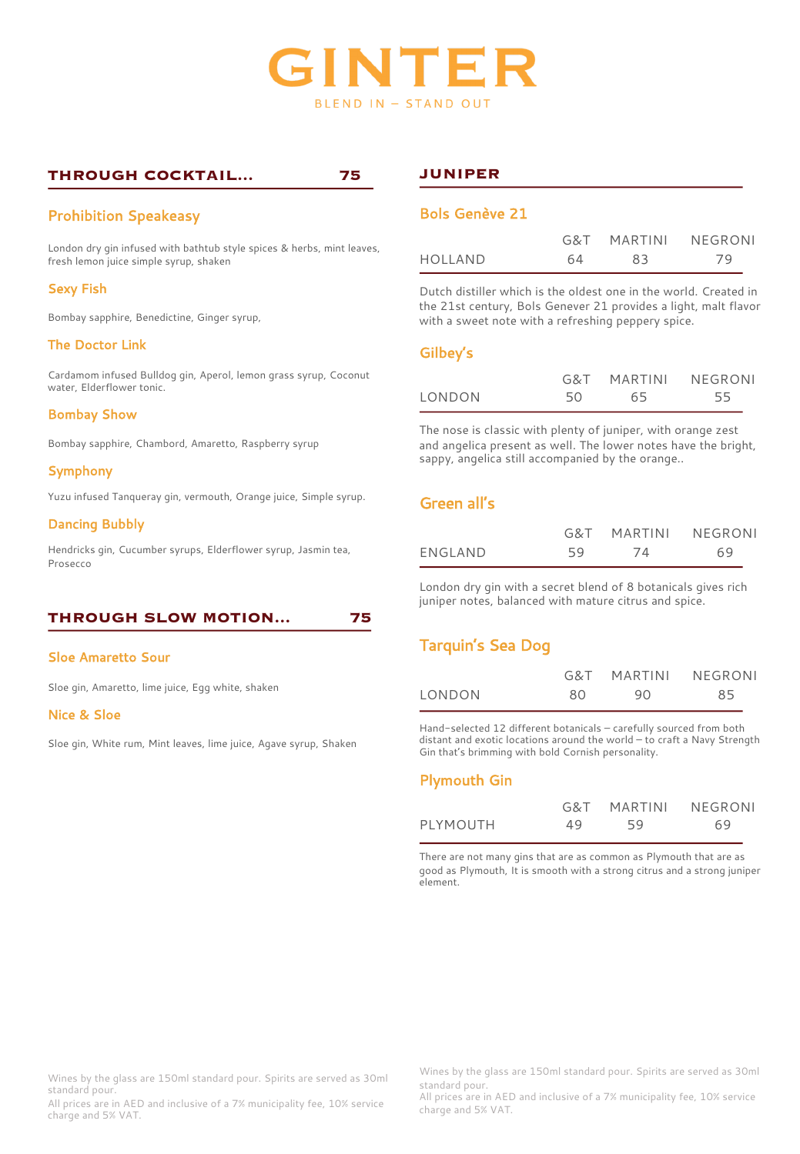

# **THROUGH COCKTAIL... 75**

# Prohibition Speakeasy

London dry gin infused with bathtub style spices & herbs, mint leaves, fresh lemon juice simple syrup, shaken

## Sexy Fish

Bombay sapphire, Benedictine, Ginger syrup,

## The Doctor Link

Cardamom infused Bulldog gin, Aperol, lemon grass syrup, Coconut water, Elderflower tonic.

## Bombay Show

Bombay sapphire, Chambord, Amaretto, Raspberry syrup

## Symphony

Yuzu infused Tanqueray gin, vermouth, Orange juice, Simple syrup.

#### Dancing Bubbly

Hendricks gin, Cucumber syrups, Elderflower syrup, Jasmin tea, Prosecco

## **THROUGH SLOW MOTION... 75**

#### Sloe Amaretto Sour

Sloe gin, Amaretto, lime juice, Egg white, shaken

#### Nice & Sloe

Sloe gin, White rum, Mint leaves, lime juice, Agave syrup, Shaken

## **JUNIPER**

## Bols Genève 21

|         |    | G&T MARTINI | NEGRONI |
|---------|----|-------------|---------|
| HOLLAND | 64 | 83          | 79      |

Dutch distiller which is the oldest one in the world. Created in the 21st century, Bols Genever 21 provides a light, malt flavor with a sweet note with a refreshing peppery spice.

## Gilbey's

|        |    | G&T MARTINI | NEGRONI |
|--------|----|-------------|---------|
| LONDON | 50 | 65          | 55      |

The nose is classic with plenty of juniper, with orange zest and angelica present as well. The lower notes have the bright, sappy, angelica still accompanied by the orange..

# Green all's

|         |    | G&T MARTINI | NEGRONI |
|---------|----|-------------|---------|
| ENGLAND | 59 | 74          | 69      |

London dry gin with a secret blend of 8 botanicals gives rich juniper notes, balanced with mature citrus and spice.

# Tarquin's Sea Dog

|        |    | G&T MARTINI NEGRONI |    |
|--------|----|---------------------|----|
| LONDON | 80 | 90                  | 85 |

Hand-selected 12 different botanicals – carefully sourced from both distant and exotic locations around the world – to craft a Navy Strength Gin that's brimming with bold Cornish personality.

## Plymouth Gin

|          |    | G&T MARTINI | NEGRONI |
|----------|----|-------------|---------|
| PLYMOUTH | 49 | 59          | 69      |

There are not many gins that are as common as Plymouth that are as good as Plymouth, It is smooth with a strong citrus and a strong juniper element.

Wines by the glass are 150ml standard pour. Spirits are served as 30ml standard pour.

All prices are in AED and inclusive of a 7% municipality fee, 10% service charge and 5% VAT.

Wines by the glass are 150ml standard pour. Spirits are served as 30ml standard pour.